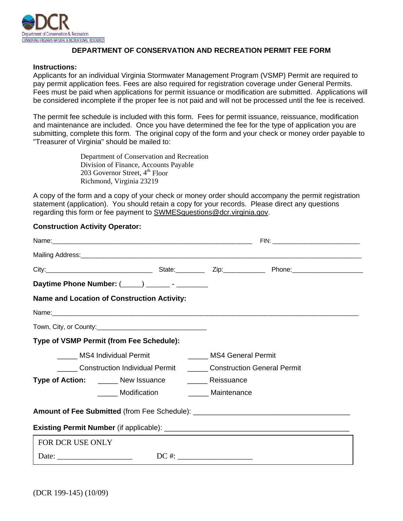

## **DEPARTMENT OF CONSERVATION AND RECREATION PERMIT FEE FORM**

## **Instructions:**

Applicants for an individual Virginia Stormwater Management Program (VSMP) Permit are required to pay permit application fees. Fees are also required for registration coverage under General Permits. Fees must be paid when applications for permit issuance or modification are submitted. Applications will be considered incomplete if the proper fee is not paid and will not be processed until the fee is received.

The permit fee schedule is included with this form. Fees for permit issuance, reissuance, modification and maintenance are included. Once you have determined the fee for the type of application you are submitting, complete this form. The original copy of the form and your check or money order payable to "Treasurer of Virginia" should be mailed to:

> Department of Conservation and Recreation Division of Finance, Accounts Payable 203 Governor Street,  $4<sup>th</sup>$  Floor Richmond, Virginia 23219

A copy of the form and a copy of your check or money order should accompany the permit registration statement (application). You should retain a copy for your records. Please direct any questions regarding this form or fee payment to SWMESquestions@dcr.virginia.gov.

## **Construction Activity Operator:**

|                                                            | Mailing Address: National Address: National Address: National Address: National Address: National Address: National Address: National Address: National Address: National Address: National Address: National Address: Nationa |  |  |  |
|------------------------------------------------------------|--------------------------------------------------------------------------------------------------------------------------------------------------------------------------------------------------------------------------------|--|--|--|
|                                                            | City: 2000 City: 2000 City: 2000 City: 2000 City: 2000 City: 2000 City: 2000 City: 2000 City: 2000 City: 2000 City: 2000 City: 2000 City: 2000 City: 2000 City: 2000 City: 2000 City: 2000 City: 2000 City: 2000 City: 2000 Ci |  |  |  |
|                                                            | Daytime Phone Number: (____) ________ - ________                                                                                                                                                                               |  |  |  |
|                                                            | Name and Location of Construction Activity:                                                                                                                                                                                    |  |  |  |
|                                                            |                                                                                                                                                                                                                                |  |  |  |
|                                                            |                                                                                                                                                                                                                                |  |  |  |
|                                                            | Type of VSMP Permit (from Fee Schedule):                                                                                                                                                                                       |  |  |  |
| _____ MS4 Individual Permit<br>MS4 General Permit          |                                                                                                                                                                                                                                |  |  |  |
| Construction Individual Permit Construction General Permit |                                                                                                                                                                                                                                |  |  |  |
|                                                            | <b>Type of Action:</b> ______ New Issuance _______ Reissuance                                                                                                                                                                  |  |  |  |
|                                                            | ______ Modification ________ Maintenance                                                                                                                                                                                       |  |  |  |
|                                                            |                                                                                                                                                                                                                                |  |  |  |
|                                                            |                                                                                                                                                                                                                                |  |  |  |
| FOR DCR USE ONLY                                           |                                                                                                                                                                                                                                |  |  |  |
|                                                            |                                                                                                                                                                                                                                |  |  |  |